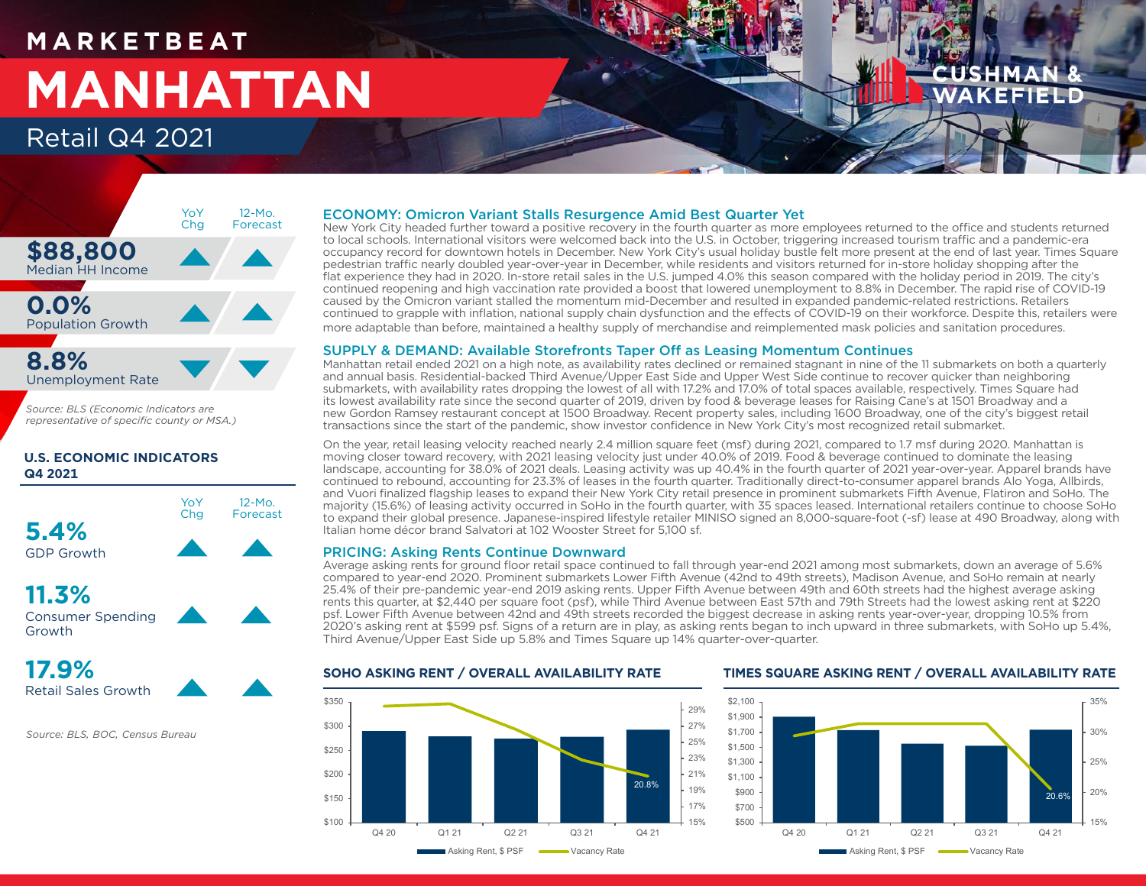## **M A R K E T B E AT MANHATTAN** Retail Q4 2021



*Source: BLS (Economic Indicators are representative of specific county or MSA.)*

## **U.S. ECONOMIC INDICATORS Q4 2021**



**11.3%** Consumer Spending Growth



*Source: BLS, BOC, Census Bureau*

## ECONOMY: Omicron Variant Stalls Resurgence Amid Best Quarter Yet

New York City headed further toward a positive recovery in the fourth quarter as more employees returned to the office and students returned to local schools. International visitors were welcomed back into the U.S. in October, triggering increased tourism traffic and a pandemic-era occupancy record for downtown hotels in December. New York City's usual holiday bustle felt more present at the end of last year. Times Square pedestrian traffic nearly doubled year-over-year in December, while residents and visitors returned for in-store holiday shopping after the flat experience they had in 2020. In-store retail sales in the U.S. jumped 4.0% this season compared with the holiday period in 2019. The city's continued reopening and high vaccination rate provided a boost that lowered unemployment to 8.8% in December. The rapid rise of COVID-19 caused by the Omicron variant stalled the momentum mid-December and resulted in expanded pandemic-related restrictions. Retailers continued to grapple with inflation, national supply chain dysfunction and the effects of COVID-19 on their workforce. Despite this, retailers were more adaptable than before, maintained a healthy supply of merchandise and reimplemented mask policies and sanitation procedures.

## SUPPLY & DEMAND: Available Storefronts Taper Off as Leasing Momentum Continues

Manhattan retail ended 2021 on a high note, as availability rates declined or remained stagnant in nine of the 11 submarkets on both a quarterly and annual basis. Residential-backed Third Avenue/Upper East Side and Upper West Side continue to recover quicker than neighboring submarkets, with availability rates dropping the lowest of all with 17.2% and 17.0% of total spaces available, respectively. Times Square had its lowest availability rate since the second quarter of 2019, driven by food & beverage leases for Raising Cane's at 1501 Broadway and a new Gordon Ramsey restaurant concept at 1500 Broadway. Recent property sales, including 1600 Broadway, one of the city's biggest retail transactions since the start of the pandemic, show investor confidence in New York City's most recognized retail submarket.

On the year, retail leasing velocity reached nearly 2.4 million square feet (msf) during 2021, compared to 1.7 msf during 2020. Manhattan is moving closer toward recovery, with 2021 leasing velocity just under 40.0% of 2019. Food & beverage continued to dominate the leasing landscape, accounting for 38.0% of 2021 deals. Leasing activity was up 40.4% in the fourth quarter of 2021 year-over-year. Apparel brands have continued to rebound, accounting for 23.3% of leases in the fourth quarter. Traditionally direct-to-consumer apparel brands Alo Yoga, Allbirds, and Vuori finalized flagship leases to expand their New York City retail presence in prominent submarkets Fifth Avenue, Flatiron and SoHo. The majority (15.6%) of leasing activity occurred in SoHo in the fourth quarter, with 35 spaces leased. International retailers continue to choose SoHo to expand their global presence. Japanese-inspired lifestyle retailer MINISO signed an 8,000-square-foot (-sf) lease at 490 Broadway, along with Italian home décor brand Salvatori at 102 Wooster Street for 5,100 sf.

## PRICING: Asking Rents Continue Downward

Average asking rents for ground floor retail space continued to fall through year-end 2021 among most submarkets, down an average of 5.6% compared to year-end 2020. Prominent submarkets Lower Fifth Avenue (42nd to 49th streets), Madison Avenue, and SoHo remain at nearly 25.4% of their pre-pandemic year-end 2019 asking rents. Upper Fifth Avenue between 49th and 60th streets had the highest average asking rents this quarter, at \$2,440 per square foot (psf), while Third Avenue between East 57th and 79th Streets had the lowest asking rent at \$220 psf. Lower Fifth Avenue between 42nd and 49th streets recorded the biggest decrease in asking rents year-over-year, dropping 10.5% from 2020's asking rent at \$599 psf. Signs of a return are in play, as asking rents began to inch upward in three submarkets, with SoHo up 5.4%, Third Avenue/Upper East Side up 5.8% and Times Square up 14% quarter-over-quarter.





## **SOHO ASKING RENT / OVERALL AVAILABILITY RATE TIMES SQUARE ASKING RENT / OVERALL AVAILABILITY RATE**